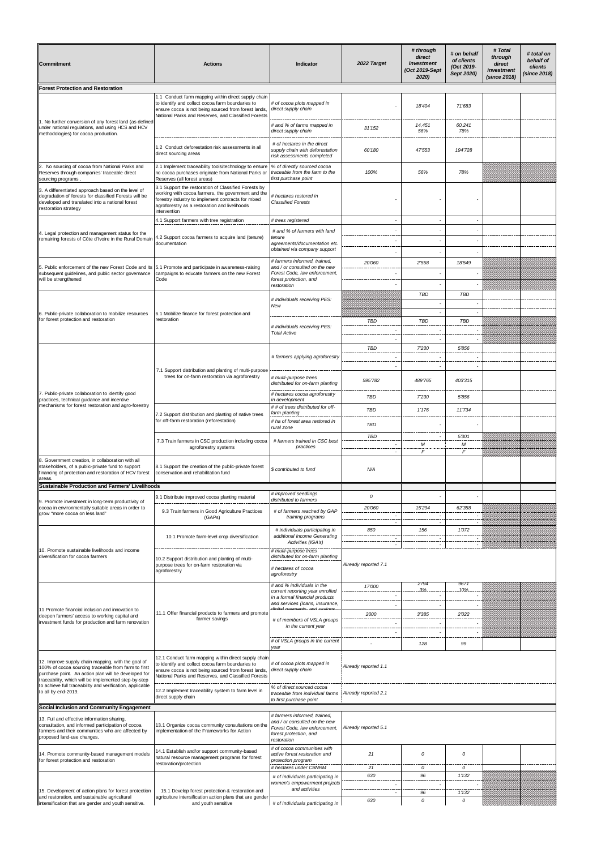| Commitment                                                                                                                                                                                                                                                                                                    | <b>Actions</b>                                                                                                                                                                                                                    | <b>Indicator</b>                                                                                                                        | 2022 Target              | # through<br>direct<br>investment<br>(Oct 2019-Sept<br>2020) | # on behalf<br>of clients<br>(Oct 2019-<br>Sept 2020) | # Total<br>through<br>direct<br>investment<br>(since 2018) | # total on<br>behalf of<br>clients<br><i>(since 2018)</i> |
|---------------------------------------------------------------------------------------------------------------------------------------------------------------------------------------------------------------------------------------------------------------------------------------------------------------|-----------------------------------------------------------------------------------------------------------------------------------------------------------------------------------------------------------------------------------|-----------------------------------------------------------------------------------------------------------------------------------------|--------------------------|--------------------------------------------------------------|-------------------------------------------------------|------------------------------------------------------------|-----------------------------------------------------------|
| <b>Forest Protection and Restoration</b>                                                                                                                                                                                                                                                                      |                                                                                                                                                                                                                                   |                                                                                                                                         |                          |                                                              |                                                       |                                                            |                                                           |
| 1. No further conversion of any forest land (as defined<br>under national regulations, and using HCS and HCV<br>methodologies) for cocoa production.                                                                                                                                                          | 1.1 Conduct farm mapping within direct supply chain<br>to identify and collect cocoa farm boundaries to<br>ensure cocoa is not being sourced from forest lands,<br>National Parks and Reserves, and Classified Forests            | # of cocoa plots mapped in<br>direct supply chain                                                                                       |                          | 18'404                                                       | 71'683                                                |                                                            |                                                           |
|                                                                                                                                                                                                                                                                                                               |                                                                                                                                                                                                                                   | # and % of farms mapped in<br>direct supply chain                                                                                       | 31'152                   | 14,451<br>56%                                                | 60,241<br>78%                                         |                                                            |                                                           |
|                                                                                                                                                                                                                                                                                                               | 1.2 Conduct deforestation risk assessments in all<br>direct sourcing areas                                                                                                                                                        | # of hectares in the direct<br>supply chain with deforestation<br>risk assessments completed                                            | 60'180                   | 47'553                                                       | 194'728                                               |                                                            |                                                           |
| 2. No sourcing of cocoa from National Parks and<br>Reserves through companies' traceable direct<br>sourcing programs                                                                                                                                                                                          | 2.1 Implement traceability tools/technology to ensure<br>no cocoa purchases originate from National Parks or<br>Reserves (all forest areas)                                                                                       | % of directly sourced cocoa<br>traceable from the farm to the<br>first purchase point                                                   | 100%                     | 56%                                                          | 78%                                                   |                                                            |                                                           |
| 3. A differentiated approach based on the level of<br>degradation of forests for classified Forests will be<br>developed and translated into a national forest<br>restoration strategy                                                                                                                        | 3.1 Support the restoration of Classified Forests by<br>working with cocoa farmers, the government and the<br>forestry industry to implement contracts for mixed<br>agroforestry as a restoration and livelihoods<br>intervention | # hectares restored in<br><b>Classified Forests</b>                                                                                     |                          |                                                              |                                                       |                                                            |                                                           |
|                                                                                                                                                                                                                                                                                                               | 4.1 Support farmers with tree registration                                                                                                                                                                                        | # trees registered                                                                                                                      |                          |                                                              |                                                       |                                                            |                                                           |
| 1. Legal protection and management status for the<br>remaining forests of Côte d'Ivoire in the Rural Domair                                                                                                                                                                                                   | 4.2 Support cocoa farmers to acquire land (tenure)<br>documentation                                                                                                                                                               | # and % of farmers with land<br>tenure<br>agreements/documentation etc.<br>obtained via company support                                 |                          |                                                              |                                                       |                                                            |                                                           |
| 5. Public enforcement of the new Forest Code and its 5.1 Promote and participate in awareness-raising<br>subsequent guidelines, and public sector governance<br>will be strengthened                                                                                                                          | campaigns to educate farmers on the new Forest<br>Code                                                                                                                                                                            | # farmers informed, trained,<br>and / or consulted on the new<br>Forest Code, law enforcement,<br>forest protection, and                | 20'060                   | 2'558                                                        | 18'549                                                |                                                            |                                                           |
| 6. Public-private collaboration to mobilize resources<br>for forest protection and restoration                                                                                                                                                                                                                | 6.1 Mobilize finance for forest protection and<br>restoration                                                                                                                                                                     | restoration<br># Individuals receiving PES:<br>New                                                                                      |                          | <b>TBD</b>                                                   | TBD                                                   |                                                            |                                                           |
|                                                                                                                                                                                                                                                                                                               |                                                                                                                                                                                                                                   | # Individuals receiving PES:<br><b>Total Active</b>                                                                                     | TBD                      | <b>TBD</b>                                                   | TBD                                                   |                                                            |                                                           |
|                                                                                                                                                                                                                                                                                                               |                                                                                                                                                                                                                                   |                                                                                                                                         | TBD                      | 7'230                                                        | 5'856                                                 |                                                            |                                                           |
| '. Public-private collaboration to identify good<br>practices, technical guidance and incentive<br>mechanisms for forest restoration and agro-forestry                                                                                                                                                        | 7.1 Support distribution and planting of multi-purpose<br>trees for on-farm restoration via agroforestry                                                                                                                          | # farmers applying agroforestry                                                                                                         | $\overline{\phantom{a}}$ |                                                              |                                                       |                                                            |                                                           |
|                                                                                                                                                                                                                                                                                                               |                                                                                                                                                                                                                                   | # multi-purpose trees<br>distributed for on-farm planting<br># hectares cocoa agroforestry                                              | 595'782                  | 489'765                                                      | 403'315                                               |                                                            |                                                           |
|                                                                                                                                                                                                                                                                                                               |                                                                                                                                                                                                                                   | in development                                                                                                                          | <b>TBD</b>               | 7'230                                                        | 5'856                                                 |                                                            |                                                           |
|                                                                                                                                                                                                                                                                                                               | 7.2 Support distribution and planting of native trees<br>for off-farm restoration (reforestation)                                                                                                                                 | ## of trees distributed for off-<br>farm planting<br># ha of forest area restored in<br>rural zone                                      | TBD<br><b>TBD</b>        | 1'176                                                        | 11'734                                                |                                                            |                                                           |
|                                                                                                                                                                                                                                                                                                               | 7.3 Train farmers in CSC production including cocoa<br>agroforestry systems                                                                                                                                                       | # farmers trained in CSC best<br>practices                                                                                              | TBD                      | M<br>$\sqrt{2}$                                              | 5'301<br>М<br>F                                       |                                                            |                                                           |
| 8. Government creation, in collaboration with all<br>stakeholders, of a public-private fund to support<br>inancing of protection and restoration of HCV forest<br>areas.                                                                                                                                      | 8.1 Support the creation of the public-private forest<br>conservation and rehabilitation fund                                                                                                                                     | \$ contributed to fund                                                                                                                  | N/A                      |                                                              |                                                       |                                                            |                                                           |
| <b>Sustainable Production and Farmers' Livelihoods</b>                                                                                                                                                                                                                                                        |                                                                                                                                                                                                                                   | # improved seedlings                                                                                                                    |                          |                                                              |                                                       |                                                            |                                                           |
| 9. Promote investment in long-term productivity of<br>cocoa in environmentally suitable areas in order to<br>grow "more cocoa on less land"                                                                                                                                                                   | 9.1 Distribute improved cocoa planting material<br>9.3 Train farmers in Good Agriculture Practices<br>(GAPs)                                                                                                                      | distributed to farmers<br># of farmers reached by GAP<br>training programs                                                              | 0<br>20'060              | 15'294                                                       | 62'358                                                |                                                            |                                                           |
| 10. Promote sustainable livelihoods and income<br>diversification for cocoa farmers                                                                                                                                                                                                                           | 10.1 Promote farm-level crop diversification                                                                                                                                                                                      | # individuals participating in<br>additional Income Generating                                                                          | 850                      | 156                                                          | 1'072                                                 |                                                            |                                                           |
|                                                                                                                                                                                                                                                                                                               | 10.2 Support distribution and planting of multi-<br>purpose trees for on-farm restoration via<br>agroforestry                                                                                                                     | Activities (IGA's)<br># multi-purpose trees<br>distributed for on-farm planting<br># hectares of cocoa<br>agroforestry                  | Already reported 7.1     |                                                              |                                                       |                                                            |                                                           |
| 1 Promote financial inclusion and innovation to<br>deepen farmers' access to working capital and<br>nvestment funds for production and farm renovation                                                                                                                                                        | 11.1 Offer financial products to farmers and promote<br>farmer savings                                                                                                                                                            | # and % individuals in the<br>current reporting year enrolled<br>in a formal financial products<br>and services (loans, insurance,      | 17'000                   | 2794<br>3%                                                   | 9671                                                  |                                                            |                                                           |
|                                                                                                                                                                                                                                                                                                               |                                                                                                                                                                                                                                   | # of members of VSLA groups<br>in the current year                                                                                      | 2000                     | 3'385                                                        | 2'022                                                 |                                                            |                                                           |
|                                                                                                                                                                                                                                                                                                               |                                                                                                                                                                                                                                   | # of VSLA groups in the current<br>vear                                                                                                 |                          | 128                                                          | 99                                                    |                                                            |                                                           |
| 12. Improve supply chain mapping, with the goal of<br>100% of cocoa sourcing traceable from farm to first<br>purchase point. An action plan will be developed for<br>traceability, which will be implemented step-by-step<br>to achieve full traceability and verification, applicable<br>to all by end-2019. | 12.1 Conduct farm mapping within direct supply chain<br>to identify and collect cocoa farm boundaries to<br>ensure cocoa is not being sourced from forest lands,<br>National Parks and Reserves, and Classified Forests           | # of cocoa plots mapped in<br>direct supply chain                                                                                       | Already reported 1.1     |                                                              |                                                       |                                                            |                                                           |
|                                                                                                                                                                                                                                                                                                               | 12.2 Implement traceability system to farm level in<br>direct supply chain                                                                                                                                                        | % of direct sourced cocoa<br>traceable from individual farms Already reported 2.1<br>to first purchase point                            |                          |                                                              |                                                       |                                                            |                                                           |
| Social Inclusion and Community Engagement                                                                                                                                                                                                                                                                     |                                                                                                                                                                                                                                   |                                                                                                                                         |                          |                                                              |                                                       |                                                            |                                                           |
| 3. Full and effective information sharing,<br>consultation, and informed participation of cocoa<br>armers and their communities who are affected by<br>proposed land-use changes.                                                                                                                             | 13.1 Organize cocoa community consultations on the<br>implementation of the Frameworks for Action                                                                                                                                 | # farmers informed, trained,<br>and / or consulted on the new<br>Forest Code, law enforcement,<br>forest protection, and<br>restoration | Already reported 5.1     |                                                              |                                                       |                                                            |                                                           |
| 14. Promote community-based management models<br>for forest protection and restoration                                                                                                                                                                                                                        | 14.1 Establish and/or support community-based<br>natural resource management programs for forest<br>restoration/protection                                                                                                        | # of cocoa communities with<br>active forest restoration and<br>protection program<br># hectares under CBNRM                            | 21<br>21                 | 0<br>0                                                       | 0<br>0                                                |                                                            |                                                           |
|                                                                                                                                                                                                                                                                                                               |                                                                                                                                                                                                                                   | # of individuals participating in                                                                                                       | 630                      | 96                                                           | 1'132                                                 |                                                            |                                                           |
|                                                                                                                                                                                                                                                                                                               | 15.1 Develop forest protection & restoration and<br>agriculture intensification action plans that are gender<br>and youth sensitive                                                                                               | women's empowerment projects<br>and activities                                                                                          |                          |                                                              |                                                       |                                                            |                                                           |
| 5. Development of action plans for forest protection<br>and restoration, and sustainable agricultural<br>intensification that are gender and youth sensitive.                                                                                                                                                 |                                                                                                                                                                                                                                   | # of individuals participating in                                                                                                       | 630                      | 96<br>$\Omega$                                               | 1'132<br>0                                            |                                                            |                                                           |